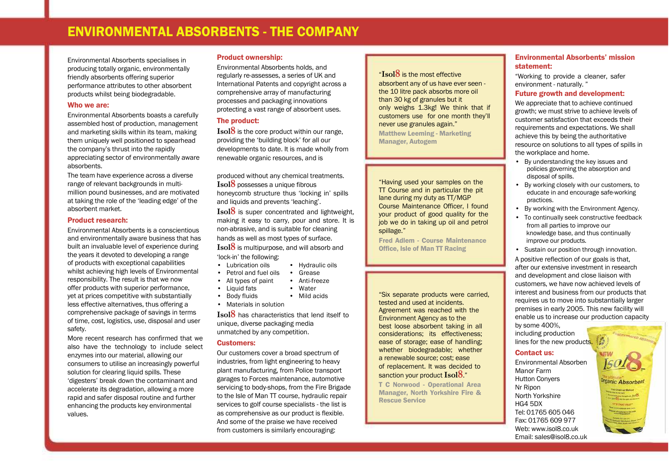# ENVIRONMENTAL ABSORBENTS - THE COMPANY

Environmental Absorbents specialises in producing totally organic, environmentally friendly absorbents offering superior performance attributes to other absorbent products whilst being biodegradable.

#### Who we are:

Environmental Absorbents boasts a carefully assembled host of production, management and marketing skills within its team, making them uniquely well positioned to spearhead the company's thrust into the rapidly appreciating sector of environmentally aware absorbents.

The team have experience across a diverse range of relevant backgrounds in multimillion pound businesses, and are motivated at taking the role of the 'leading edge' of the absorbent market.

#### Product research:

Environmental Absorbents is a conscientious and environmentally aware business that has built an invaluable level of experience during the years it devoted to developing a range of products with exceptional capabilities whilst achieving high levels of Environmental responsibility. The result is that we now offer products with superior performance, yet at prices competitive with substantially less effective alternatives, thus offering a comprehensive package of savings in terms of time, cost, logistics, use, disposal and user safety.

More recent research has confirmed that we also have the technology to include select enzymes into our material, allowing our consumers to utilise an increasingly powerful solution for clearing liquid spills. These 'digesters' break down the contaminant and accelerate its degradation, allowing a more rapid and safer disposal routine and further enhancing the products key environmental values.

# Product ownership:

Environmental Absorbents holds, and regularly re-assesses, a series of UK and International Patents and copyright across a comprehensive array of manufacturing processes and packaging innovations protecting a vast range of absorbent uses.

# The product:

**Isol8** is the core product within our range, providing the 'building block' for all our developments to date. It is made wholly from renewable organic resources, and is

produced without any chemical treatments. **Isol8** possesses a unique fibrous honeycomb structure thus 'locking in' spills and liquids and prevents 'leaching'.

**Isol8** is super concentrated and lightweight, making it easy to carry, pour and store. It is non-abrasive, and is suitable for cleaning hands as well as most types of surface.

**Isol8** is multipurpose, and will absorb and 'lock-in' the following:

- Lubrication oils Hydraulic oils
- Petrol and fuel oils Grease
- Anti-freeze • All types of paint
- Liquid fats Water
- Mild acids  $\cdot$  Body fluids
- Materials in solution

**Isol8** has characteristics that lend itself to unique, diverse packaging media unmatched by any competition.

#### Customers:

Our customers cover a broad spectrum of industries, from light engineering to heavy plant manufacturing, from Police transport garages to Forces maintenance, automotive servicing to body-shops, from the Fire Brigade to the Isle of Man TT course, hydraulic repair services to golf course specialists - the list is as comprehensive as our product is flexible. And some of the praise we have received from customers is similarly encouraging:

# "**Isol8** is the most effective absorbent any of us have ever seen the 10 litre pack absorbs more oil than 30 kg of granules but it only weighs 1.3kg! We think that if customers use for one month they'll never use granules again." Matthew Leeming - Marketing Manager, Autogem

"Having used your samples on the TT Course and in particular the pit lane during my duty as TT/MGP Course Maintenance Officer, I found your product of good quality for the job we do in taking up oil and petrol spillage."

Fred Adlem - Course Maintenance Office, Isle of Man TT Racing

"Six separate products were carried, tested and used at incidents. Agreement was reached with the Environment Agency as to the best loose absorbent taking in all considerations; its effectiveness; ease of storage; ease of handling; whether biodegradable; whether a renewable source; cost; ease of replacement. It was decided to sanction your product **Isol8**."

T C Norwood - Operational Area Manager, North Yorkshire Fire & Rescue Service

# Environmental Absorbents' mission statement:

"Working to provide a cleaner, safer environment - naturally. "

# Future growth and development:

We appreciate that to achieve continued growth; we must strive to achieve levels of customer satisfaction that exceeds their requirements and expectations. We shall achieve this by being the authoritative resource on solutions to all types of spills in the workplace and home.

- By understanding the key issues and policies governing the absorption and disposal of spills.
- By working closely with our customers, to educate in and encourage safe-working practices.
- By working with the Environment Agency.
- To continually seek constructive feedback from all parties to improve our knowledge base, and thus continually improve our products.
- Sustain our position through innovation.

A positive reflection of our goals is that, after our extensive investment in research and development and close liaison with customers, we have now achieved levels of interest and business from our products that requires us to move into substantially larger premises in early 2005. This new facility will enable us to increase our production capacity

by some 400%, including production lines for the new products.

# Contact us:

Environmental Absorben Manor Farm Hutton Conyers Nr Ripon North Yorkshire HG4 5DX Tel: 01765 605 046 Fax: 01765 609 977 Web: www.isol8.co.uk Email: sales@isol8.co.uk

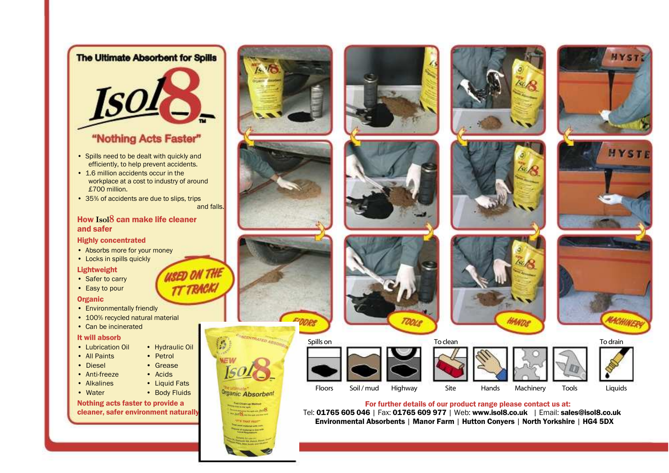